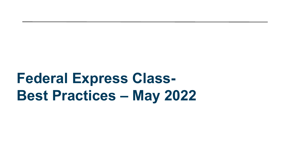# **Federal Express Class-Best Practices – May 2022**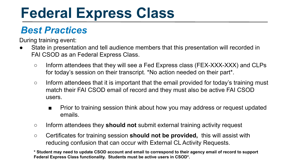## **Federal Express Class**

### *Best Practices*

During training event:

- State in presentation and tell audience members that this presentation will recorded in FAI CSOD as an Federal Express Class.
	- Inform attendees that they will see a Fed Express class (FEX-XXX-XXX) and CLPs for today's session on their transcript. \*No action needed on their part\*.
	- Inform attendees that it is important that the email provided for today's training must match their FAI CSOD email of record and they must also be active FAI CSOD users.
		- Prior to training session think about how you may address or request updated emails.
	- Inform attendees they **should not** submit external training activity request
	- Certificates for training session **should not be provided,** this will assist with reducing confusion that can occur with External CL Activity Requests.

**\* Student may need to update CSOD account and email to correspond to their agency email of record to support Federal Express Class functionality. Students must be active users in CSOD\*.**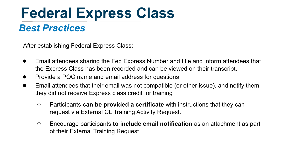### **Federal Express Class**

#### *Best Practices*

After establishing Federal Express Class:

- Email attendees sharing the Fed Express Number and title and inform attendees that the Express Class has been recorded and can be viewed on their transcript.
- Provide a POC name and email address for questions
- Email attendees that their email was not compatible (or other issue), and notify them they did not receive Express class credit for training
	- Participants **can be provided a certificate** with instructions that they can request via External CL Training Activity Request.
	- Encourage participants **to include email notification** as an attachment as part of their External Training Request